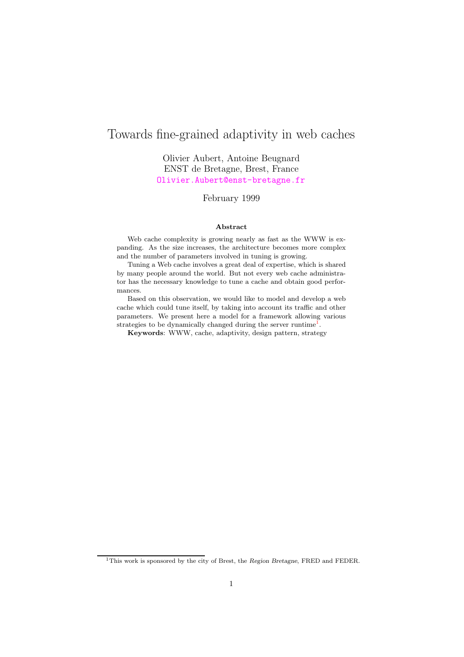# Towards fine-grained adaptivity in web caches

Olivier Aubert, Antoine Beugnard ENST de Bretagne, Brest, France <Olivier.Aubert@enst-bretagne.fr>

February 1999

#### Abstract

Web cache complexity is growing nearly as fast as the WWW is expanding. As the size increases, the architecture becomes more complex and the number of parameters involved in tuning is growing.

Tuning a Web cache involves a great deal of expertise, which is shared by many people around the world. But not every web cache administrator has the necessary knowledge to tune a cache and obtain good performances.

Based on this observation, we would like to model and develop a web cache which could tune itself, by taking into account its traffic and other parameters. We present here a model for a framework allowing various strategies to be dynamically changed during the server runtime<sup>[1](#page-0-0)</sup>.

Keywords: WWW, cache, adaptivity, design pattern, strategy

<span id="page-0-0"></span><sup>&</sup>lt;sup>1</sup>This work is sponsored by the city of Brest, the Region Bretagne, FRED and FEDER.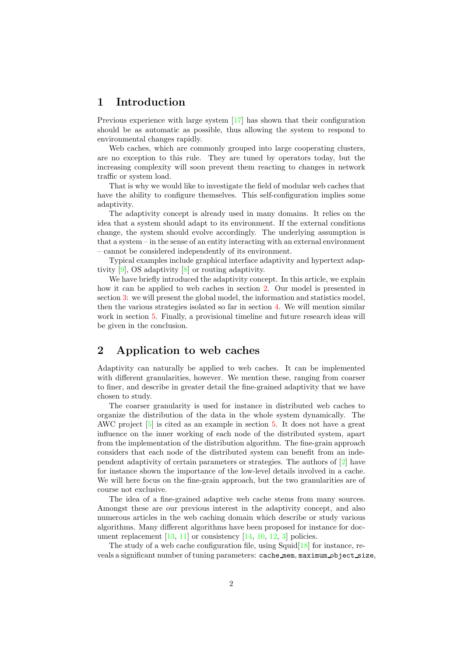### 1 Introduction

Previous experience with large system [\[17\]](#page-8-0) has shown that their configuration should be as automatic as possible, thus allowing the system to respond to environmental changes rapidly.

Web caches, which are commonly grouped into large cooperating clusters, are no exception to this rule. They are tuned by operators today, but the increasing complexity will soon prevent them reacting to changes in network traffic or system load.

That is why we would like to investigate the field of modular web caches that have the ability to configure themselves. This self-configuration implies some adaptivity.

The adaptivity concept is already used in many domains. It relies on the idea that a system should adapt to its environment. If the external conditions change, the system should evolve accordingly. The underlying assumption is that a system – in the sense of an entity interacting with an external environment – cannot be considered independently of its environment.

Typical examples include graphical interface adaptivity and hypertext adaptivity [\[9\]](#page-8-1), OS adaptivity [\[8\]](#page-8-2) or routing adaptivity.

We have briefly introduced the adaptivity concept. In this article, we explain how it can be applied to web caches in section [2.](#page-1-0) Our model is presented in section [3:](#page-2-0) we will present the global model, the information and statistics model, then the various strategies isolated so far in section [4.](#page-4-0) We will mention similar work in section [5.](#page-6-0) Finally, a provisional timeline and future research ideas will be given in the conclusion.

# <span id="page-1-0"></span>2 Application to web caches

Adaptivity can naturally be applied to web caches. It can be implemented with different granularities, however. We mention these, ranging from coarser to finer, and describe in greater detail the fine-grained adaptivity that we have chosen to study.

The coarser granularity is used for instance in distributed web caches to organize the distribution of the data in the whole system dynamically. The AWC project [\[5\]](#page-7-0) is cited as an example in section [5.](#page-6-0) It does not have a great influence on the inner working of each node of the distributed system, apart from the implementation of the distribution algorithm. The fine-grain approach considers that each node of the distributed system can benefit from an independent adaptivity of certain parameters or strategies. The authors of [\[2\]](#page-7-1) have for instance shown the importance of the low-level details involved in a cache. We will here focus on the fine-grain approach, but the two granularities are of course not exclusive.

The idea of a fine-grained adaptive web cache stems from many sources. Amongst these are our previous interest in the adaptivity concept, and also numerous articles in the web caching domain which describe or study various algorithms. Many different algorithms have been proposed for instance for document replacement  $[13, 11]$  $[13, 11]$  $[13, 11]$  or consistency  $[14, 10, 12, 3]$  $[14, 10, 12, 3]$  $[14, 10, 12, 3]$  $[14, 10, 12, 3]$  $[14, 10, 12, 3]$  $[14, 10, 12, 3]$  $[14, 10, 12, 3]$  policies.

The study of a web cache configuration file, using  $Squid[18]$  $Squid[18]$  for instance, reveals a significant number of tuning parameters: cache\_mem, maximum\_object\_size,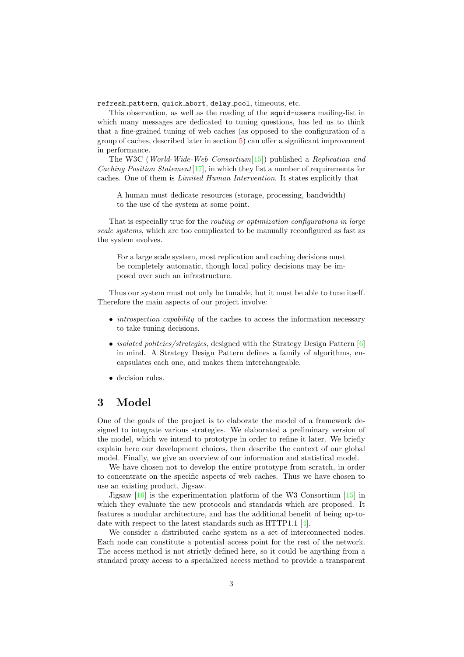refresh pattern, quick abort, delay pool, timeouts, etc.

This observation, as well as the reading of the squid-users mailing-list in which many messages are dedicated to tuning questions, has led us to think that a fine-grained tuning of web caches (as opposed to the configuration of a group of caches, described later in section [5\)](#page-6-0) can offer a significant improvement in performance.

The W3C (World-Wide-Web Consortium[\[15\]](#page-8-9)) published a Replication and *Caching Position Statement* [\[17\]](#page-8-0), in which they list a number of requirements for caches. One of them is Limited Human Intervention. It states explicitly that

A human must dedicate resources (storage, processing, bandwidth) to the use of the system at some point.

That is especially true for the *routing or optimization configurations in large* scale systems, which are too complicated to be manually reconfigured as fast as the system evolves.

For a large scale system, most replication and caching decisions must be completely automatic, though local policy decisions may be imposed over such an infrastructure.

Thus our system must not only be tunable, but it must be able to tune itself. Therefore the main aspects of our project involve:

- *introspection capability* of the caches to access the information necessary to take tuning decisions.
- *isolated politcies/strategies*, designed with the Strategy Design Pattern [\[6\]](#page-7-3) in mind. A Strategy Design Pattern defines a family of algorithms, encapsulates each one, and makes them interchangeable.
- decision rules.

# <span id="page-2-0"></span>3 Model

One of the goals of the project is to elaborate the model of a framework designed to integrate various strategies. We elaborated a preliminary version of the model, which we intend to prototype in order to refine it later. We briefly explain here our development choices, then describe the context of our global model. Finally, we give an overview of our information and statistical model.

We have chosen not to develop the entire prototype from scratch, in order to concentrate on the specific aspects of web caches. Thus we have chosen to use an existing product, Jigsaw.

Jigsaw [\[16\]](#page-8-10) is the experimentation platform of the W3 Consortium [\[15\]](#page-8-9) in which they evaluate the new protocols and standards which are proposed. It features a modular architecture, and has the additional benefit of being up-todate with respect to the latest standards such as HTTP1.1 [\[4\]](#page-7-4).

We consider a distributed cache system as a set of interconnected nodes. Each node can constitute a potential access point for the rest of the network. The access method is not strictly defined here, so it could be anything from a standard proxy access to a specialized access method to provide a transparent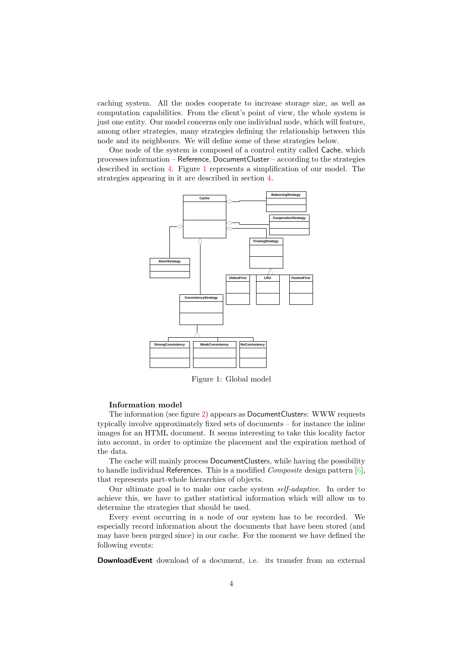caching system. All the nodes cooperate to increase storage size, as well as computation capabilities. From the client's point of view, the whole system is just one entity. Our model concerns only one individual node, which will feature, among other strategies, many strategies defining the relationship between this node and its neighbours. We will define some of these strategies below.

One node of the system is composed of a control entity called Cache, which processes information – Reference, DocumentCluster – according to the strategies described in section [4.](#page-4-0) Figure [1](#page-3-0) represents a simplification of our model. The strategies appearing in it are described in section [4.](#page-4-0)



<span id="page-3-0"></span>Figure 1: Global model

#### Information model

The information (see figure [2\)](#page-4-1) appears as DocumentClusters: WWW requests typically involve approximately fixed sets of documents – for instance the inline images for an HTML document. It seems interesting to take this locality factor into account, in order to optimize the placement and the expiration method of the data.

The cache will mainly process DocumentClusters, while having the possibility to handle individual References. This is a modified *Composite* design pattern  $[6]$ , that represents part-whole hierarchies of objects.

Our ultimate goal is to make our cache system self-adaptive. In order to achieve this, we have to gather statistical information which will allow us to determine the strategies that should be used.

Every event occurring in a node of our system has to be recorded. We especially record information about the documents that have been stored (and may have been purged since) in our cache. For the moment we have defined the following events:

**DownloadEvent** download of a document, i.e. its transfer from an external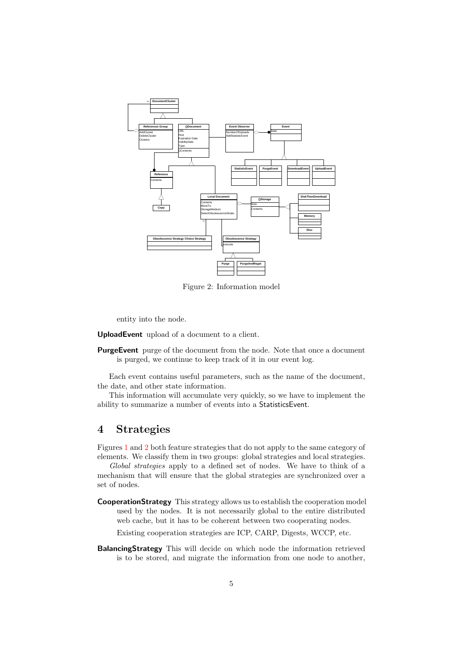

<span id="page-4-1"></span>Figure 2: Information model

entity into the node.

UploadEvent upload of a document to a client.

**PurgeEvent** purge of the document from the node. Note that once a document is purged, we continue to keep track of it in our event log.

Each event contains useful parameters, such as the name of the document, the date, and other state information.

This information will accumulate very quickly, so we have to implement the ability to summarize a number of events into a StatisticsEvent.

# <span id="page-4-0"></span>4 Strategies

Figures [1](#page-3-0) and [2](#page-4-1) both feature strategies that do not apply to the same category of elements. We classify them in two groups: global strategies and local strategies.

Global strategies apply to a defined set of nodes. We have to think of a mechanism that will ensure that the global strategies are synchronized over a set of nodes.

CooperationStrategy This strategy allows us to establish the cooperation model used by the nodes. It is not necessarily global to the entire distributed web cache, but it has to be coherent between two cooperating nodes.

Existing cooperation strategies are ICP, CARP, Digests, WCCP, etc.

BalancingStrategy This will decide on which node the information retrieved is to be stored, and migrate the information from one node to another,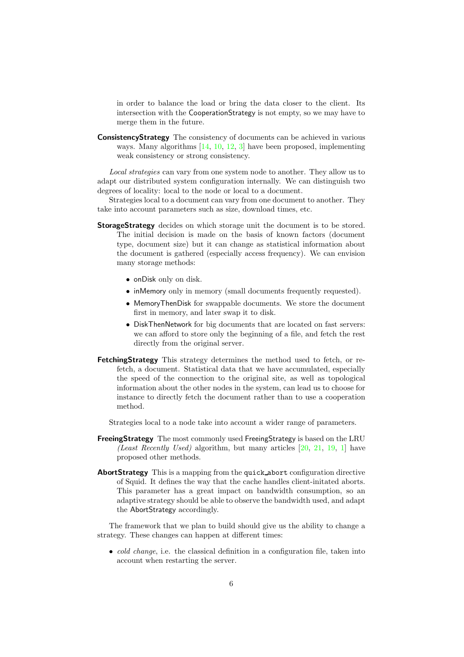in order to balance the load or bring the data closer to the client. Its intersection with the CooperationStrategy is not empty, so we may have to merge them in the future.

ConsistencyStrategy The consistency of documents can be achieved in various ways. Many algorithms [\[14,](#page-8-5) [10,](#page-8-6) [12,](#page-8-7) [3\]](#page-7-2) have been proposed, implementing weak consistency or strong consistency.

Local strategies can vary from one system node to another. They allow us to adapt our distributed system configuration internally. We can distinguish two degrees of locality: local to the node or local to a document.

Strategies local to a document can vary from one document to another. They take into account parameters such as size, download times, etc.

- StorageStrategy decides on which storage unit the document is to be stored. The initial decision is made on the basis of known factors (document type, document size) but it can change as statistical information about the document is gathered (especially access frequency). We can envision many storage methods:
	- onDisk only on disk.
	- inMemory only in memory (small documents frequently requested).
	- MemoryThenDisk for swappable documents. We store the document first in memory, and later swap it to disk.
	- DiskThenNetwork for big documents that are located on fast servers: we can afford to store only the beginning of a file, and fetch the rest directly from the original server.
- FetchingStrategy This strategy determines the method used to fetch, or refetch, a document. Statistical data that we have accumulated, especially the speed of the connection to the original site, as well as topological information about the other nodes in the system, can lead us to choose for instance to directly fetch the document rather than to use a cooperation method.

Strategies local to a node take into account a wider range of parameters.

- FreeingStrategy The most commonly used FreeingStrategy is based on the LRU (Least Recently Used) algorithm, but many articles  $[20, 21, 19, 1]$  $[20, 21, 19, 1]$  $[20, 21, 19, 1]$  $[20, 21, 19, 1]$  $[20, 21, 19, 1]$  $[20, 21, 19, 1]$  $[20, 21, 19, 1]$  have proposed other methods.
- AbortStrategy This is a mapping from the quick abort configuration directive of Squid. It defines the way that the cache handles client-initated aborts. This parameter has a great impact on bandwidth consumption, so an adaptive strategy should be able to observe the bandwidth used, and adapt the AbortStrategy accordingly.

The framework that we plan to build should give us the ability to change a strategy. These changes can happen at different times:

• *cold change*, i.e. the classical definition in a configuration file, taken into account when restarting the server.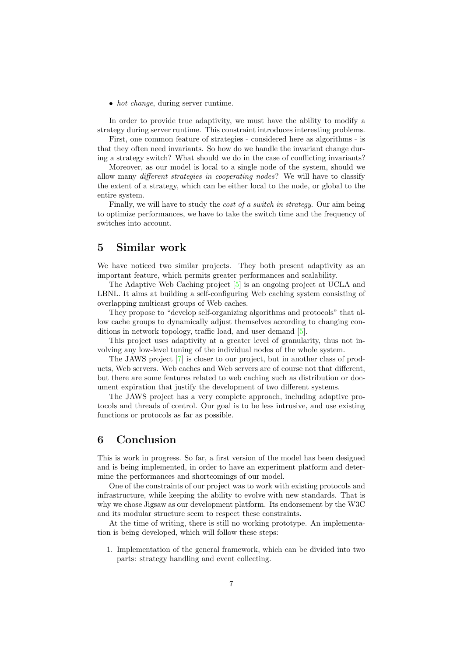• hot change, during server runtime.

In order to provide true adaptivity, we must have the ability to modify a strategy during server runtime. This constraint introduces interesting problems.

First, one common feature of strategies - considered here as algorithms - is that they often need invariants. So how do we handle the invariant change during a strategy switch? What should we do in the case of conflicting invariants?

Moreover, as our model is local to a single node of the system, should we allow many different strategies in cooperating nodes? We will have to classify the extent of a strategy, which can be either local to the node, or global to the entire system.

Finally, we will have to study the *cost of a switch in strategy*. Our aim being to optimize performances, we have to take the switch time and the frequency of switches into account.

### <span id="page-6-0"></span>5 Similar work

We have noticed two similar projects. They both present adaptivity as an important feature, which permits greater performances and scalability.

The Adaptive Web Caching project [\[5\]](#page-7-0) is an ongoing project at UCLA and LBNL. It aims at building a self-configuring Web caching system consisting of overlapping multicast groups of Web caches.

They propose to "develop self-organizing algorithms and protocols" that allow cache groups to dynamically adjust themselves according to changing conditions in network topology, traffic load, and user demand [\[5\]](#page-7-0).

This project uses adaptivity at a greater level of granularity, thus not involving any low-level tuning of the individual nodes of the whole system.

The JAWS project [\[7\]](#page-7-6) is closer to our project, but in another class of products, Web servers. Web caches and Web servers are of course not that different, but there are some features related to web caching such as distribution or document expiration that justify the development of two different systems.

The JAWS project has a very complete approach, including adaptive protocols and threads of control. Our goal is to be less intrusive, and use existing functions or protocols as far as possible.

# 6 Conclusion

This is work in progress. So far, a first version of the model has been designed and is being implemented, in order to have an experiment platform and determine the performances and shortcomings of our model.

One of the constraints of our project was to work with existing protocols and infrastructure, while keeping the ability to evolve with new standards. That is why we chose Jigsaw as our development platform. Its endorsement by the W3C and its modular structure seem to respect these constraints.

At the time of writing, there is still no working prototype. An implementation is being developed, which will follow these steps:

1. Implementation of the general framework, which can be divided into two parts: strategy handling and event collecting.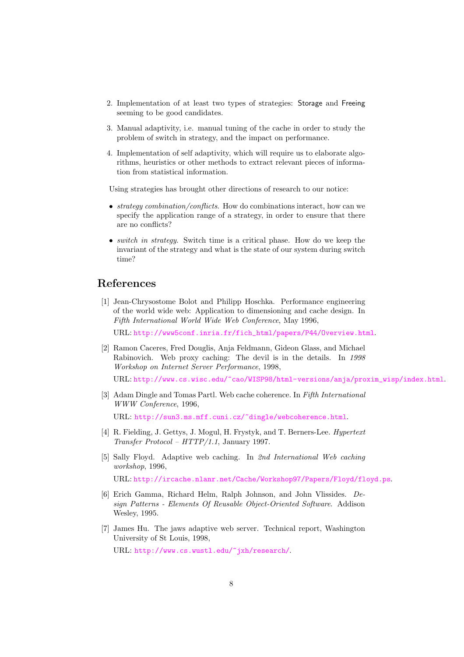- 2. Implementation of at least two types of strategies: Storage and Freeing seeming to be good candidates.
- 3. Manual adaptivity, i.e. manual tuning of the cache in order to study the problem of switch in strategy, and the impact on performance.
- 4. Implementation of self adaptivity, which will require us to elaborate algorithms, heuristics or other methods to extract relevant pieces of information from statistical information.

Using strategies has brought other directions of research to our notice:

- *strategy combination/conflicts*. How do combinations interact, how can we specify the application range of a strategy, in order to ensure that there are no conflicts?
- *switch in strategy*. Switch time is a critical phase. How do we keep the invariant of the strategy and what is the state of our system during switch time?

### <span id="page-7-5"></span>References

[1] Jean-Chrysostome Bolot and Philipp Hoschka. Performance engineering of the world wide web: Application to dimensioning and cache design. In Fifth International World Wide Web Conference, May 1996,

URL: [http://www5conf.inria.fr/fich\\_html/papers/P44/Overview.html](http://www5conf.inria.fr/fich_html/papers/P44/Overview.html).

- <span id="page-7-1"></span>[2] Ramon Caceres, Fred Douglis, Anja Feldmann, Gideon Glass, and Michael Rabinovich. Web proxy caching: The devil is in the details. In 1998 Workshop on Internet Server Performance, 1998,
	- URL: [http://www.cs.wisc.edu/~cao/WISP98/html-versions/anja/proxim\\_wisp/index.html](http://www.cs.wisc.edu/~cao/WISP98/html-versions/anja/proxim_wisp/index.html).
- <span id="page-7-2"></span>[3] Adam Dingle and Tomas Partl. Web cache coherence. In Fifth International WWW Conference, 1996, URL: <http://sun3.ms.mff.cuni.cz/~dingle/webcoherence.html>.

<span id="page-7-4"></span>[4] R. Fielding, J. Gettys, J. Mogul, H. Frystyk, and T. Berners-Lee. Hypertext

<span id="page-7-0"></span>[5] Sally Floyd. Adaptive web caching. In 2nd International Web caching workshop, 1996,

URL: <http://ircache.nlanr.net/Cache/Workshop97/Papers/Floyd/floyd.ps>.

- <span id="page-7-3"></span>[6] Erich Gamma, Richard Helm, Ralph Johnson, and John Vlissides. Design Patterns - Elements Of Reusable Object-Oriented Software. Addison Wesley, 1995.
- <span id="page-7-6"></span>[7] James Hu. The jaws adaptive web server. Technical report, Washington University of St Louis, 1998,

URL: <http://www.cs.wustl.edu/~jxh/research/>.

Transfer Protocol – HTTP/1.1, January 1997.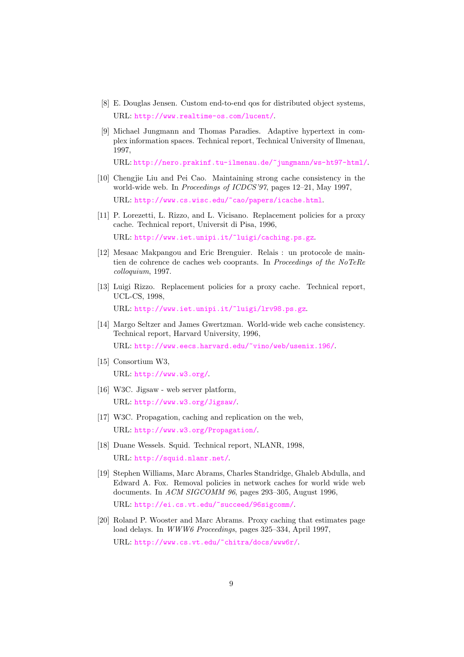- <span id="page-8-2"></span>[8] E. Douglas Jensen. Custom end-to-end qos for distributed object systems, URL: <http://www.realtime-os.com/lucent/>.
- <span id="page-8-1"></span>[9] Michael Jungmann and Thomas Paradies. Adaptive hypertext in complex information spaces. Technical report, Technical University of Ilmenau, 1997,

URL: <http://nero.prakinf.tu-ilmenau.de/~jungmann/ws-ht97-html/>.

- <span id="page-8-6"></span>[10] Chengjie Liu and Pei Cao. Maintaining strong cache consistency in the world-wide web. In Proceedings of ICDCS'97, pages 12–21, May 1997, URL: <http://www.cs.wisc.edu/~cao/papers/icache.html>.
- <span id="page-8-4"></span>[11] P. Lorezetti, L. Rizzo, and L. Vicisano. Replacement policies for a proxy cache. Technical report, Universit di Pisa, 1996,

URL: <http://www.iet.unipi.it/~luigi/caching.ps.gz>.

- <span id="page-8-7"></span>[12] Mesaac Makpangou and Eric Brenguier. Relais : un protocole de maintien de cohrence de caches web cooprants. In Proceedings of the NoTeRe colloquium, 1997.
- <span id="page-8-3"></span>[13] Luigi Rizzo. Replacement policies for a proxy cache. Technical report, UCL-CS, 1998,

URL: <http://www.iet.unipi.it/~luigi/lrv98.ps.gz>.

<span id="page-8-5"></span>[14] Margo Seltzer and James Gwertzman. World-wide web cache consistency. Technical report, Harvard University, 1996,

URL: <http://www.eecs.harvard.edu/~vino/web/usenix.196/>.

- <span id="page-8-9"></span>[15] Consortium W3, URL: <http://www.w3.org/>.
- <span id="page-8-10"></span>[16] W3C. Jigsaw - web server platform, URL: <http://www.w3.org/Jigsaw/>.
- <span id="page-8-0"></span>[17] W3C. Propagation, caching and replication on the web, URL: <http://www.w3.org/Propagation/>.
- <span id="page-8-8"></span>[18] Duane Wessels. Squid. Technical report, NLANR, 1998, URL: <http://squid.nlanr.net/>.
- <span id="page-8-12"></span>[19] Stephen Williams, Marc Abrams, Charles Standridge, Ghaleb Abdulla, and Edward A. Fox. Removal policies in network caches for world wide web documents. In ACM SIGCOMM 96, pages 293–305, August 1996, URL: <http://ei.cs.vt.edu/~succeed/96sigcomm/>.
- <span id="page-8-11"></span>[20] Roland P. Wooster and Marc Abrams. Proxy caching that estimates page load delays. In WWW6 Proceedings, pages 325–334, April 1997,

URL: <http://www.cs.vt.edu/~chitra/docs/www6r/>.